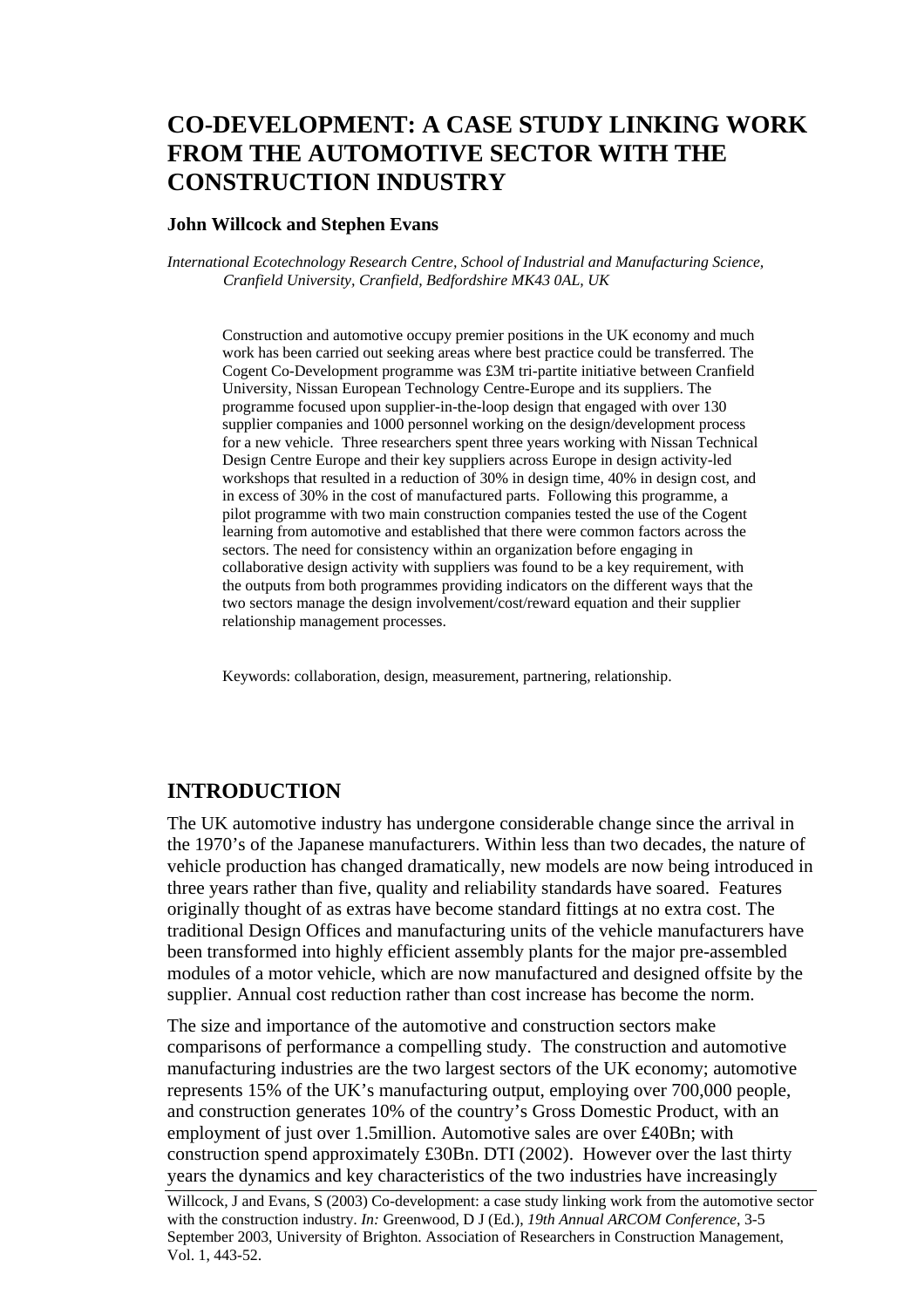# **CO-DEVELOPMENT: A CASE STUDY LINKING WORK FROM THE AUTOMOTIVE SECTOR WITH THE CONSTRUCTION INDUSTRY**

#### **John Willcock and Stephen Evans**

*International Ecotechnology Research Centre, School of Industrial and Manufacturing Science, Cranfield University, Cranfield, Bedfordshire MK43 0AL, UK* 

Construction and automotive occupy premier positions in the UK economy and much work has been carried out seeking areas where best practice could be transferred. The Cogent Co-Development programme was £3M tri-partite initiative between Cranfield University, Nissan European Technology Centre-Europe and its suppliers. The programme focused upon supplier-in-the-loop design that engaged with over 130 supplier companies and 1000 personnel working on the design/development process for a new vehicle. Three researchers spent three years working with Nissan Technical Design Centre Europe and their key suppliers across Europe in design activity-led workshops that resulted in a reduction of 30% in design time, 40% in design cost, and in excess of 30% in the cost of manufactured parts. Following this programme, a pilot programme with two main construction companies tested the use of the Cogent learning from automotive and established that there were common factors across the sectors. The need for consistency within an organization before engaging in collaborative design activity with suppliers was found to be a key requirement, with the outputs from both programmes providing indicators on the different ways that the two sectors manage the design involvement/cost/reward equation and their supplier relationship management processes.

Keywords: collaboration, design, measurement, partnering, relationship.

## **INTRODUCTION**

The UK automotive industry has undergone considerable change since the arrival in the 1970's of the Japanese manufacturers. Within less than two decades, the nature of vehicle production has changed dramatically, new models are now being introduced in three years rather than five, quality and reliability standards have soared. Features originally thought of as extras have become standard fittings at no extra cost. The traditional Design Offices and manufacturing units of the vehicle manufacturers have been transformed into highly efficient assembly plants for the major pre-assembled modules of a motor vehicle, which are now manufactured and designed offsite by the supplier. Annual cost reduction rather than cost increase has become the norm.

The size and importance of the automotive and construction sectors make comparisons of performance a compelling study. The construction and automotive manufacturing industries are the two largest sectors of the UK economy; automotive represents 15% of the UK's manufacturing output, employing over 700,000 people, and construction generates 10% of the country's Gross Domestic Product, with an employment of just over 1.5million. Automotive sales are over £40Bn; with construction spend approximately £30Bn. DTI (2002). However over the last thirty years the dynamics and key characteristics of the two industries have increasingly

Willcock, J and Evans, S (2003) Co-development: a case study linking work from the automotive sector with the construction industry. *In:* Greenwood, D J (Ed.), *19th Annual ARCOM Conference*, 3-5 September 2003, University of Brighton. Association of Researchers in Construction Management, Vol. 1, 443-52.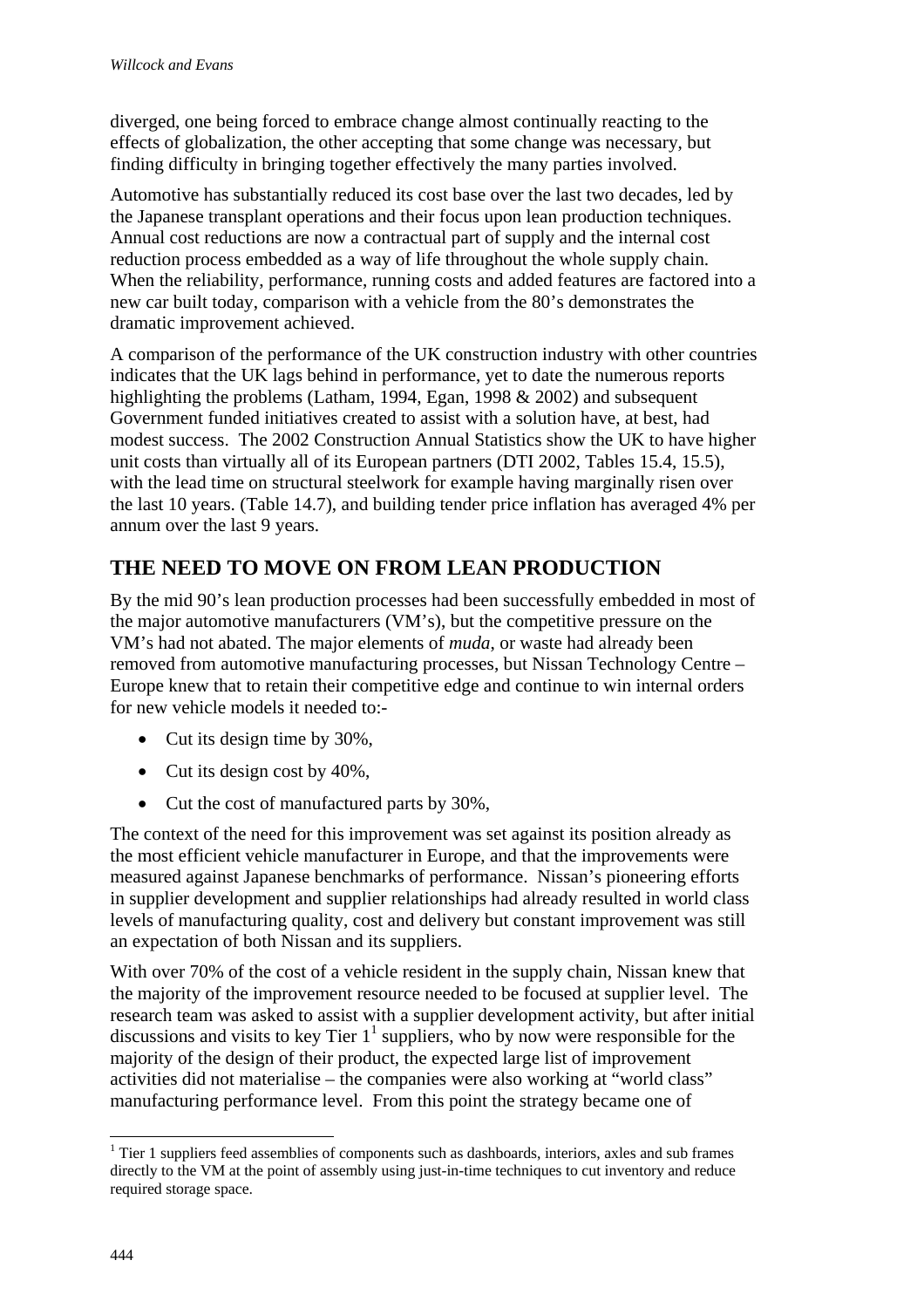diverged, one being forced to embrace change almost continually reacting to the effects of globalization, the other accepting that some change was necessary, but finding difficulty in bringing together effectively the many parties involved.

Automotive has substantially reduced its cost base over the last two decades, led by the Japanese transplant operations and their focus upon lean production techniques. Annual cost reductions are now a contractual part of supply and the internal cost reduction process embedded as a way of life throughout the whole supply chain. When the reliability, performance, running costs and added features are factored into a new car built today, comparison with a vehicle from the 80's demonstrates the dramatic improvement achieved.

A comparison of the performance of the UK construction industry with other countries indicates that the UK lags behind in performance, yet to date the numerous reports highlighting the problems (Latham, 1994, Egan, 1998 & 2002) and subsequent Government funded initiatives created to assist with a solution have, at best, had modest success. The 2002 Construction Annual Statistics show the UK to have higher unit costs than virtually all of its European partners (DTI 2002, Tables 15.4, 15.5), with the lead time on structural steelwork for example having marginally risen over the last 10 years. (Table 14.7), and building tender price inflation has averaged 4% per annum over the last 9 years.

# **THE NEED TO MOVE ON FROM LEAN PRODUCTION**

By the mid 90's lean production processes had been successfully embedded in most of the major automotive manufacturers (VM's), but the competitive pressure on the VM's had not abated. The major elements of *muda*, or waste had already been removed from automotive manufacturing processes, but Nissan Technology Centre – Europe knew that to retain their competitive edge and continue to win internal orders for new vehicle models it needed to:-

- Cut its design time by 30%,
- Cut its design cost by 40%,
- Cut the cost of manufactured parts by 30%,

The context of the need for this improvement was set against its position already as the most efficient vehicle manufacturer in Europe, and that the improvements were measured against Japanese benchmarks of performance. Nissan's pioneering efforts in supplier development and supplier relationships had already resulted in world class levels of manufacturing quality, cost and delivery but constant improvement was still an expectation of both Nissan and its suppliers.

With over 70% of the cost of a vehicle resident in the supply chain, Nissan knew that the majority of the improvement resource needed to be focused at supplier level. The research team was asked to assist with a supplier development activity, but after initial discussions and visits to key Tier  $1^1$  suppliers, who by now were responsible for the majority of the design of their product, the expected large list of improvement activities did not materialise – the companies were also working at "world class" manufacturing performance level. From this point the strategy became one of

 $\overline{a}$ 

 $1$  Tier 1 suppliers feed assemblies of components such as dashboards, interiors, axles and sub frames directly to the VM at the point of assembly using just-in-time techniques to cut inventory and reduce required storage space.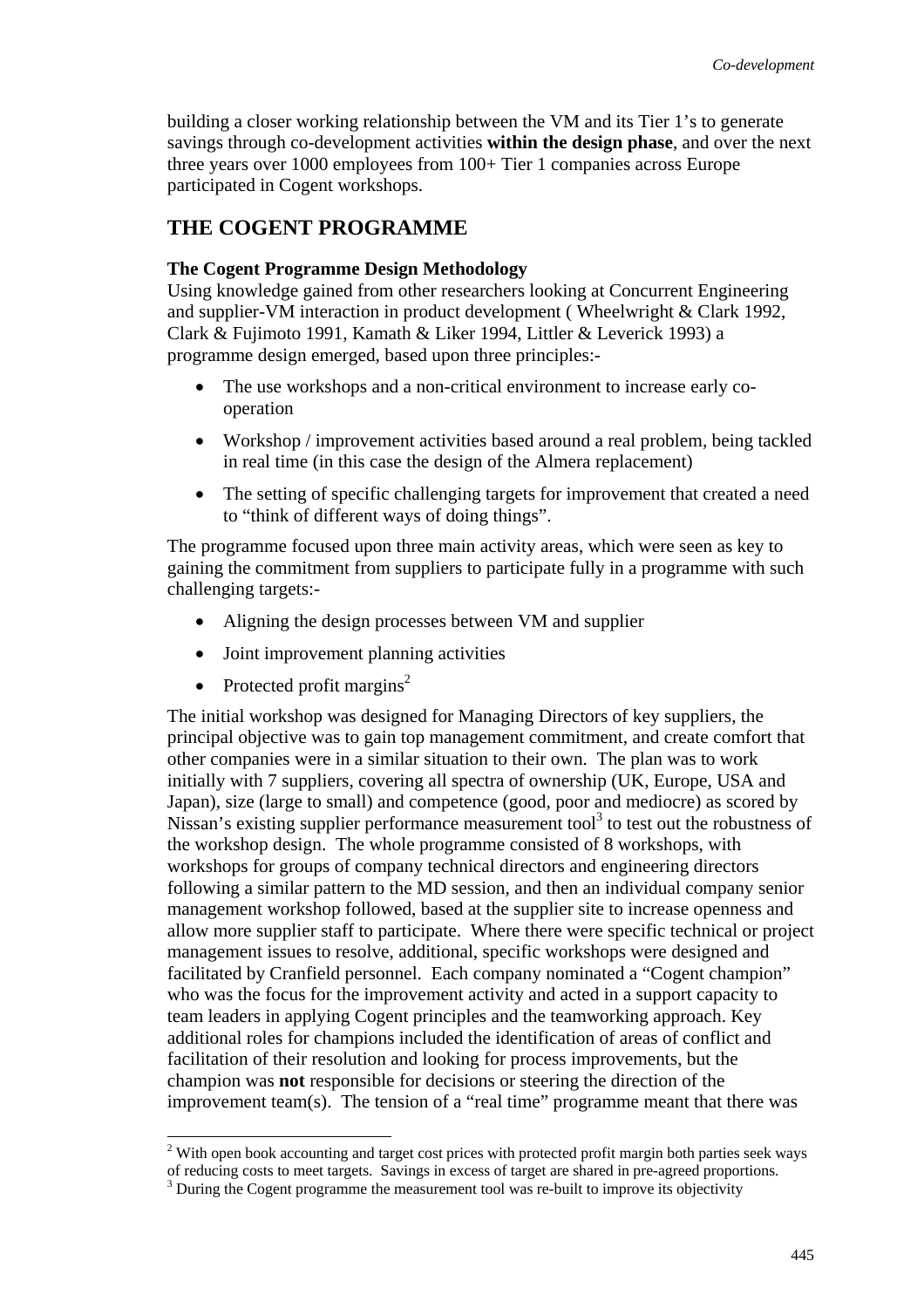building a closer working relationship between the VM and its Tier 1's to generate savings through co-development activities **within the design phase**, and over the next three years over 1000 employees from 100+ Tier 1 companies across Europe participated in Cogent workshops.

# **THE COGENT PROGRAMME**

## **The Cogent Programme Design Methodology**

Using knowledge gained from other researchers looking at Concurrent Engineering and supplier-VM interaction in product development ( Wheelwright & Clark 1992, Clark & Fujimoto 1991, Kamath & Liker 1994, Littler & Leverick 1993) a programme design emerged, based upon three principles:-

- The use workshops and a non-critical environment to increase early cooperation
- Workshop / improvement activities based around a real problem, being tackled in real time (in this case the design of the Almera replacement)
- The setting of specific challenging targets for improvement that created a need to "think of different ways of doing things".

The programme focused upon three main activity areas, which were seen as key to gaining the commitment from suppliers to participate fully in a programme with such challenging targets:-

- Aligning the design processes between VM and supplier
- Joint improvement planning activities
- Protected profit margins<sup>2</sup>

l

The initial workshop was designed for Managing Directors of key suppliers, the principal objective was to gain top management commitment, and create comfort that other companies were in a similar situation to their own. The plan was to work initially with 7 suppliers, covering all spectra of ownership (UK, Europe, USA and Japan), size (large to small) and competence (good, poor and mediocre) as scored by Nissan's existing supplier performance measurement tool<sup>3</sup> to test out the robustness of the workshop design. The whole programme consisted of 8 workshops, with workshops for groups of company technical directors and engineering directors following a similar pattern to the MD session, and then an individual company senior management workshop followed, based at the supplier site to increase openness and allow more supplier staff to participate. Where there were specific technical or project management issues to resolve, additional, specific workshops were designed and facilitated by Cranfield personnel. Each company nominated a "Cogent champion" who was the focus for the improvement activity and acted in a support capacity to team leaders in applying Cogent principles and the teamworking approach. Key additional roles for champions included the identification of areas of conflict and facilitation of their resolution and looking for process improvements, but the champion was **not** responsible for decisions or steering the direction of the improvement team(s). The tension of a "real time" programme meant that there was

 $2$  With open book accounting and target cost prices with protected profit margin both parties seek ways

of reducing costs to meet targets. Savings in excess of target are shared in pre-agreed proportions. 3

<sup>&</sup>lt;sup>3</sup> During the Cogent programme the measurement tool was re-built to improve its objectivity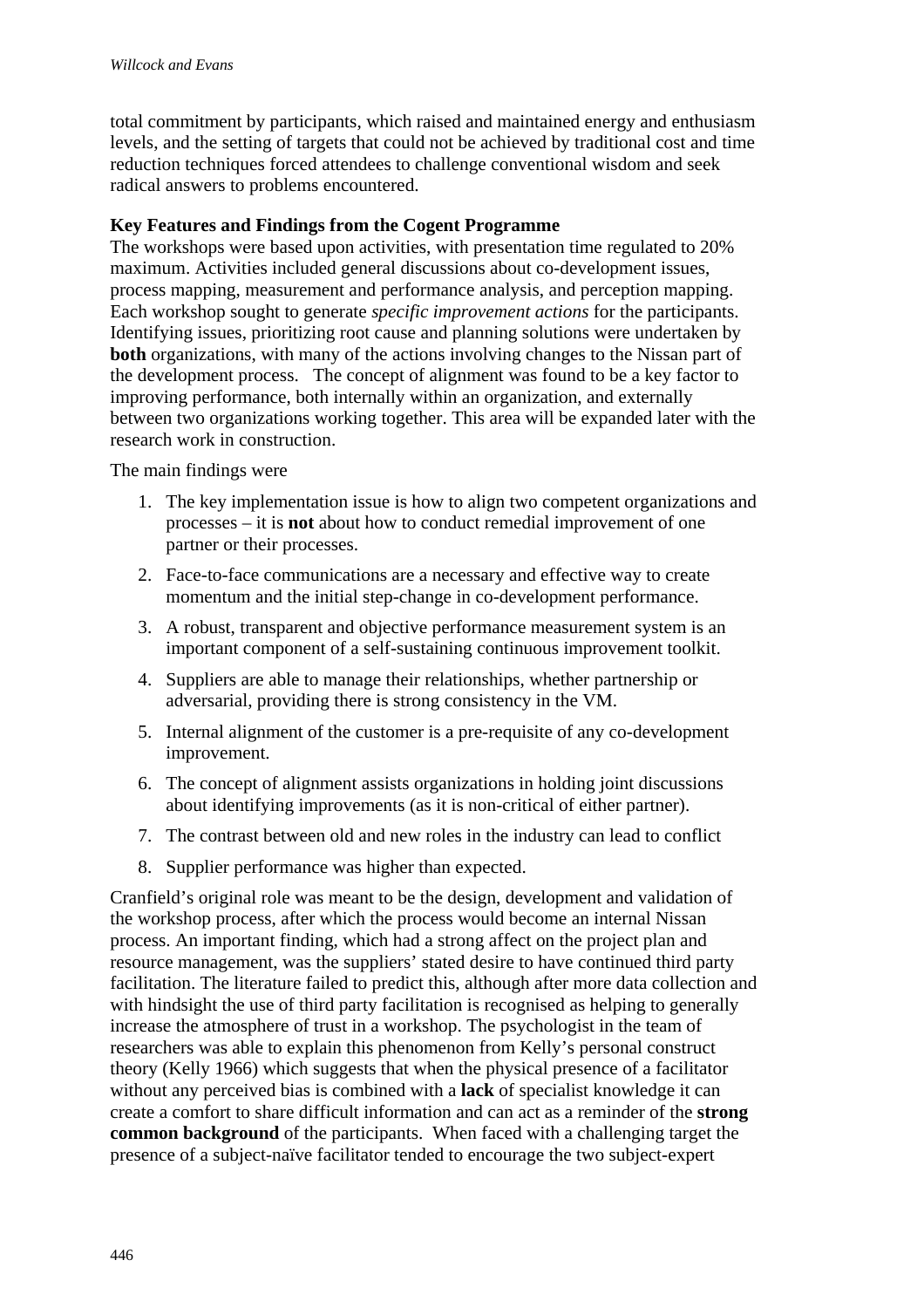total commitment by participants, which raised and maintained energy and enthusiasm levels, and the setting of targets that could not be achieved by traditional cost and time reduction techniques forced attendees to challenge conventional wisdom and seek radical answers to problems encountered.

## **Key Features and Findings from the Cogent Programme**

The workshops were based upon activities, with presentation time regulated to 20% maximum. Activities included general discussions about co-development issues, process mapping, measurement and performance analysis, and perception mapping. Each workshop sought to generate *specific improvement actions* for the participants. Identifying issues, prioritizing root cause and planning solutions were undertaken by **both** organizations, with many of the actions involving changes to the Nissan part of the development process. The concept of alignment was found to be a key factor to improving performance, both internally within an organization, and externally between two organizations working together. This area will be expanded later with the research work in construction.

The main findings were

- 1. The key implementation issue is how to align two competent organizations and processes – it is **not** about how to conduct remedial improvement of one partner or their processes.
- 2. Face-to-face communications are a necessary and effective way to create momentum and the initial step-change in co-development performance.
- 3. A robust, transparent and objective performance measurement system is an important component of a self-sustaining continuous improvement toolkit.
- 4. Suppliers are able to manage their relationships, whether partnership or adversarial, providing there is strong consistency in the VM.
- 5. Internal alignment of the customer is a pre-requisite of any co-development improvement.
- 6. The concept of alignment assists organizations in holding joint discussions about identifying improvements (as it is non-critical of either partner).
- 7. The contrast between old and new roles in the industry can lead to conflict
- 8. Supplier performance was higher than expected.

Cranfield's original role was meant to be the design, development and validation of the workshop process, after which the process would become an internal Nissan process. An important finding, which had a strong affect on the project plan and resource management, was the suppliers' stated desire to have continued third party facilitation. The literature failed to predict this, although after more data collection and with hindsight the use of third party facilitation is recognised as helping to generally increase the atmosphere of trust in a workshop. The psychologist in the team of researchers was able to explain this phenomenon from Kelly's personal construct theory (Kelly 1966) which suggests that when the physical presence of a facilitator without any perceived bias is combined with a **lack** of specialist knowledge it can create a comfort to share difficult information and can act as a reminder of the **strong common background** of the participants. When faced with a challenging target the presence of a subject-naïve facilitator tended to encourage the two subject-expert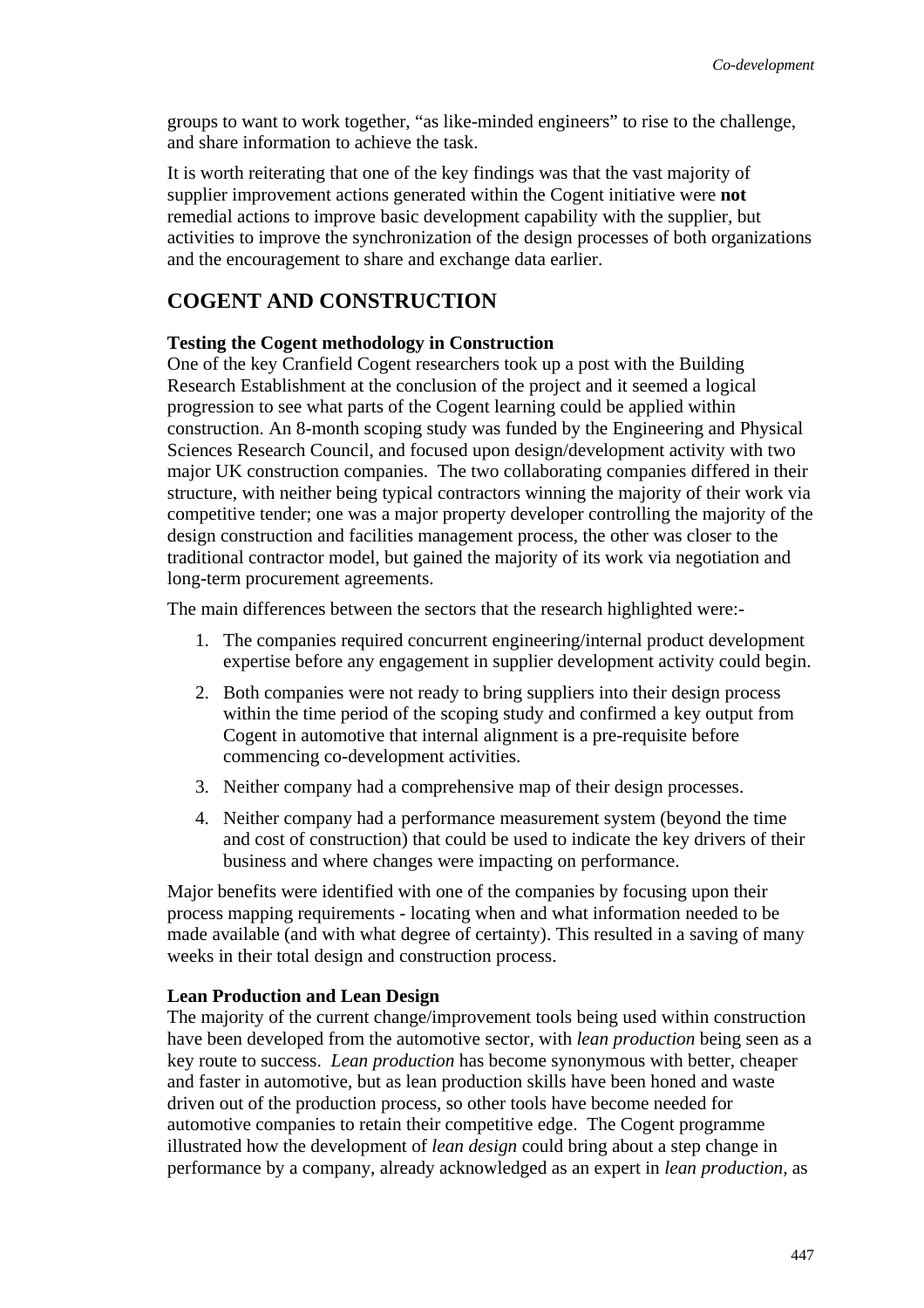groups to want to work together, "as like-minded engineers" to rise to the challenge, and share information to achieve the task.

It is worth reiterating that one of the key findings was that the vast majority of supplier improvement actions generated within the Cogent initiative were **not** remedial actions to improve basic development capability with the supplier, but activities to improve the synchronization of the design processes of both organizations and the encouragement to share and exchange data earlier.

# **COGENT AND CONSTRUCTION**

#### **Testing the Cogent methodology in Construction**

One of the key Cranfield Cogent researchers took up a post with the Building Research Establishment at the conclusion of the project and it seemed a logical progression to see what parts of the Cogent learning could be applied within construction. An 8-month scoping study was funded by the Engineering and Physical Sciences Research Council, and focused upon design/development activity with two major UK construction companies. The two collaborating companies differed in their structure, with neither being typical contractors winning the majority of their work via competitive tender; one was a major property developer controlling the majority of the design construction and facilities management process, the other was closer to the traditional contractor model, but gained the majority of its work via negotiation and long-term procurement agreements.

The main differences between the sectors that the research highlighted were:-

- 1. The companies required concurrent engineering/internal product development expertise before any engagement in supplier development activity could begin.
- 2. Both companies were not ready to bring suppliers into their design process within the time period of the scoping study and confirmed a key output from Cogent in automotive that internal alignment is a pre-requisite before commencing co-development activities.
- 3. Neither company had a comprehensive map of their design processes.
- 4. Neither company had a performance measurement system (beyond the time and cost of construction) that could be used to indicate the key drivers of their business and where changes were impacting on performance.

Major benefits were identified with one of the companies by focusing upon their process mapping requirements - locating when and what information needed to be made available (and with what degree of certainty). This resulted in a saving of many weeks in their total design and construction process.

### **Lean Production and Lean Design**

The majority of the current change/improvement tools being used within construction have been developed from the automotive sector, with *lean production* being seen as a key route to success. *Lean production* has become synonymous with better, cheaper and faster in automotive, but as lean production skills have been honed and waste driven out of the production process, so other tools have become needed for automotive companies to retain their competitive edge. The Cogent programme illustrated how the development of *lean design* could bring about a step change in performance by a company, already acknowledged as an expert in *lean production,* as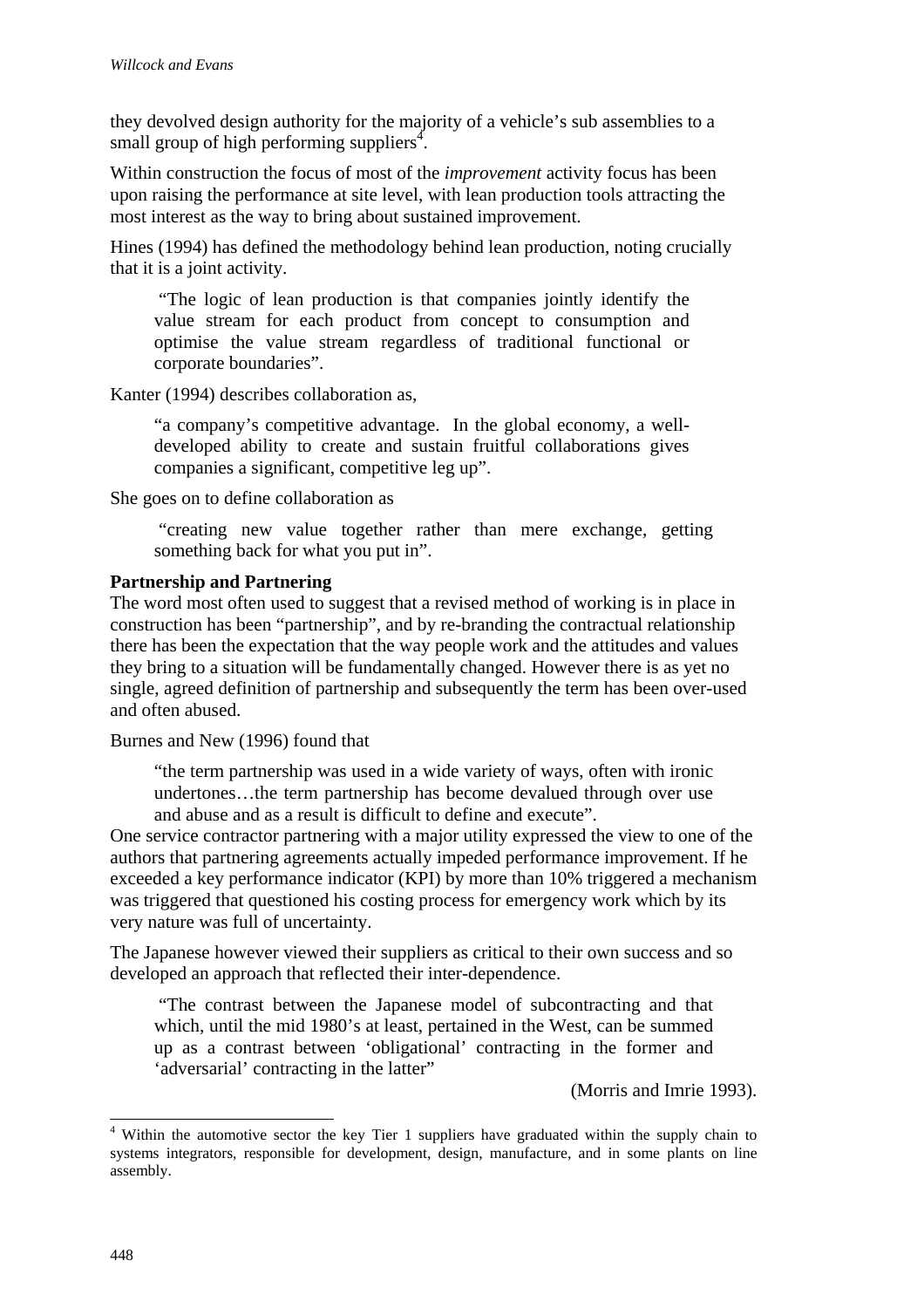they devolved design authority for the majority of a vehicle's sub assemblies to a small group of high performing suppliers<sup>4</sup>.

Within construction the focus of most of the *improvement* activity focus has been upon raising the performance at site level, with lean production tools attracting the most interest as the way to bring about sustained improvement.

Hines (1994) has defined the methodology behind lean production, noting crucially that it is a joint activity.

 "The logic of lean production is that companies jointly identify the value stream for each product from concept to consumption and optimise the value stream regardless of traditional functional or corporate boundaries".

Kanter (1994) describes collaboration as,

"a company's competitive advantage. In the global economy, a welldeveloped ability to create and sustain fruitful collaborations gives companies a significant, competitive leg up".

She goes on to define collaboration as

 "creating new value together rather than mere exchange, getting something back for what you put in".

## **Partnership and Partnering**

The word most often used to suggest that a revised method of working is in place in construction has been "partnership", and by re-branding the contractual relationship there has been the expectation that the way people work and the attitudes and values they bring to a situation will be fundamentally changed. However there is as yet no single, agreed definition of partnership and subsequently the term has been over-used and often abused.

Burnes and New (1996) found that

"the term partnership was used in a wide variety of ways, often with ironic undertones…the term partnership has become devalued through over use and abuse and as a result is difficult to define and execute".

One service contractor partnering with a major utility expressed the view to one of the authors that partnering agreements actually impeded performance improvement. If he exceeded a key performance indicator (KPI) by more than 10% triggered a mechanism was triggered that questioned his costing process for emergency work which by its very nature was full of uncertainty.

The Japanese however viewed their suppliers as critical to their own success and so developed an approach that reflected their inter-dependence.

 "The contrast between the Japanese model of subcontracting and that which, until the mid 1980's at least, pertained in the West, can be summed up as a contrast between 'obligational' contracting in the former and 'adversarial' contracting in the latter"

(Morris and Imrie 1993).

<sup>&</sup>lt;sup>4</sup> Within the automotive sector the key Tier 1 suppliers have graduated within the supply chain to systems integrators, responsible for development, design, manufacture, and in some plants on line assembly.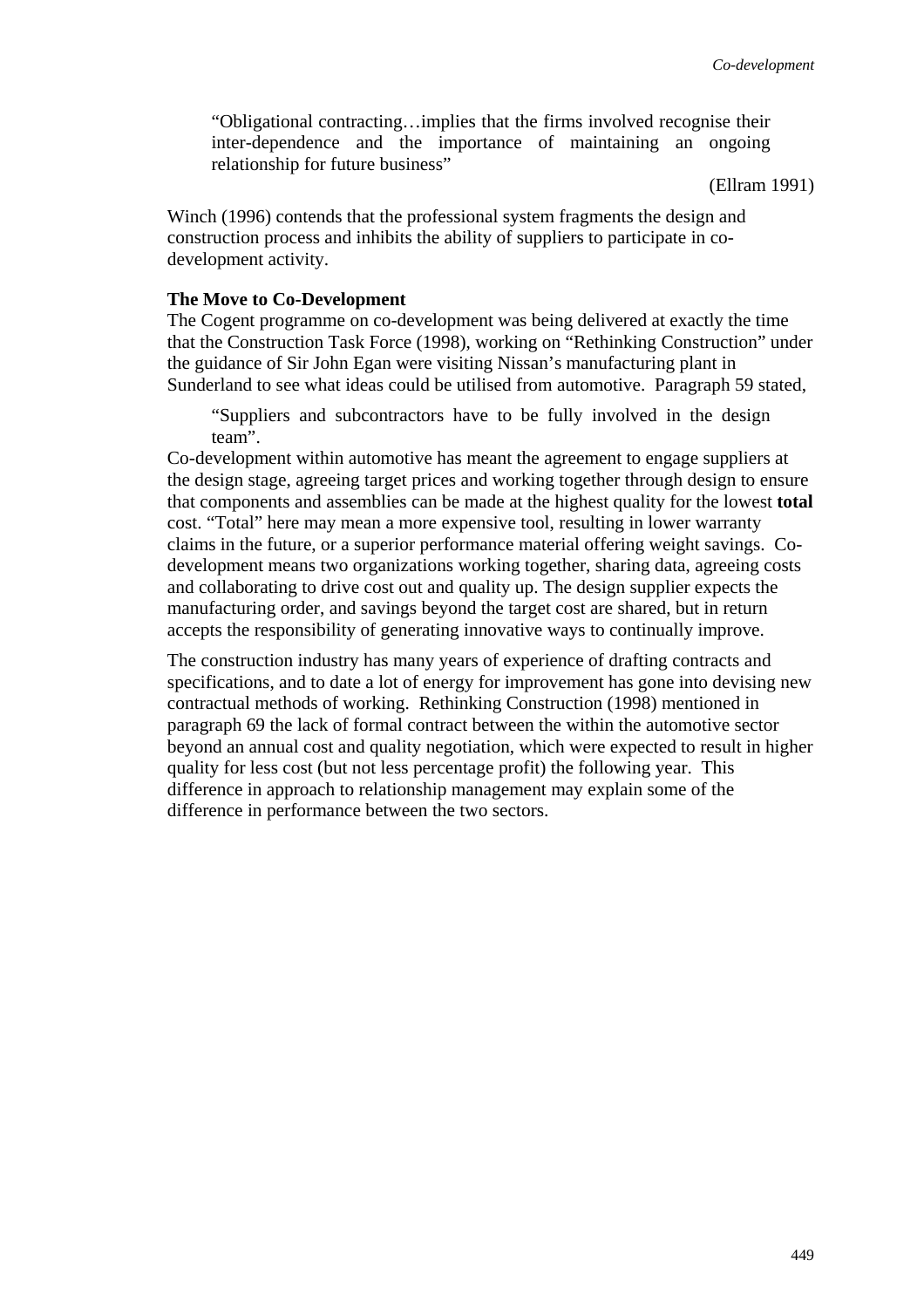"Obligational contracting…implies that the firms involved recognise their inter-dependence and the importance of maintaining an ongoing relationship for future business"

(Ellram 1991)

Winch (1996) contends that the professional system fragments the design and construction process and inhibits the ability of suppliers to participate in codevelopment activity.

### **The Move to Co-Development**

The Cogent programme on co-development was being delivered at exactly the time that the Construction Task Force (1998), working on "Rethinking Construction" under the guidance of Sir John Egan were visiting Nissan's manufacturing plant in Sunderland to see what ideas could be utilised from automotive. Paragraph 59 stated,

"Suppliers and subcontractors have to be fully involved in the design team".

Co-development within automotive has meant the agreement to engage suppliers at the design stage, agreeing target prices and working together through design to ensure that components and assemblies can be made at the highest quality for the lowest **total** cost. "Total" here may mean a more expensive tool, resulting in lower warranty claims in the future, or a superior performance material offering weight savings. Codevelopment means two organizations working together, sharing data, agreeing costs and collaborating to drive cost out and quality up. The design supplier expects the manufacturing order, and savings beyond the target cost are shared, but in return accepts the responsibility of generating innovative ways to continually improve.

The construction industry has many years of experience of drafting contracts and specifications, and to date a lot of energy for improvement has gone into devising new contractual methods of working. Rethinking Construction (1998) mentioned in paragraph 69 the lack of formal contract between the within the automotive sector beyond an annual cost and quality negotiation, which were expected to result in higher quality for less cost (but not less percentage profit) the following year. This difference in approach to relationship management may explain some of the difference in performance between the two sectors.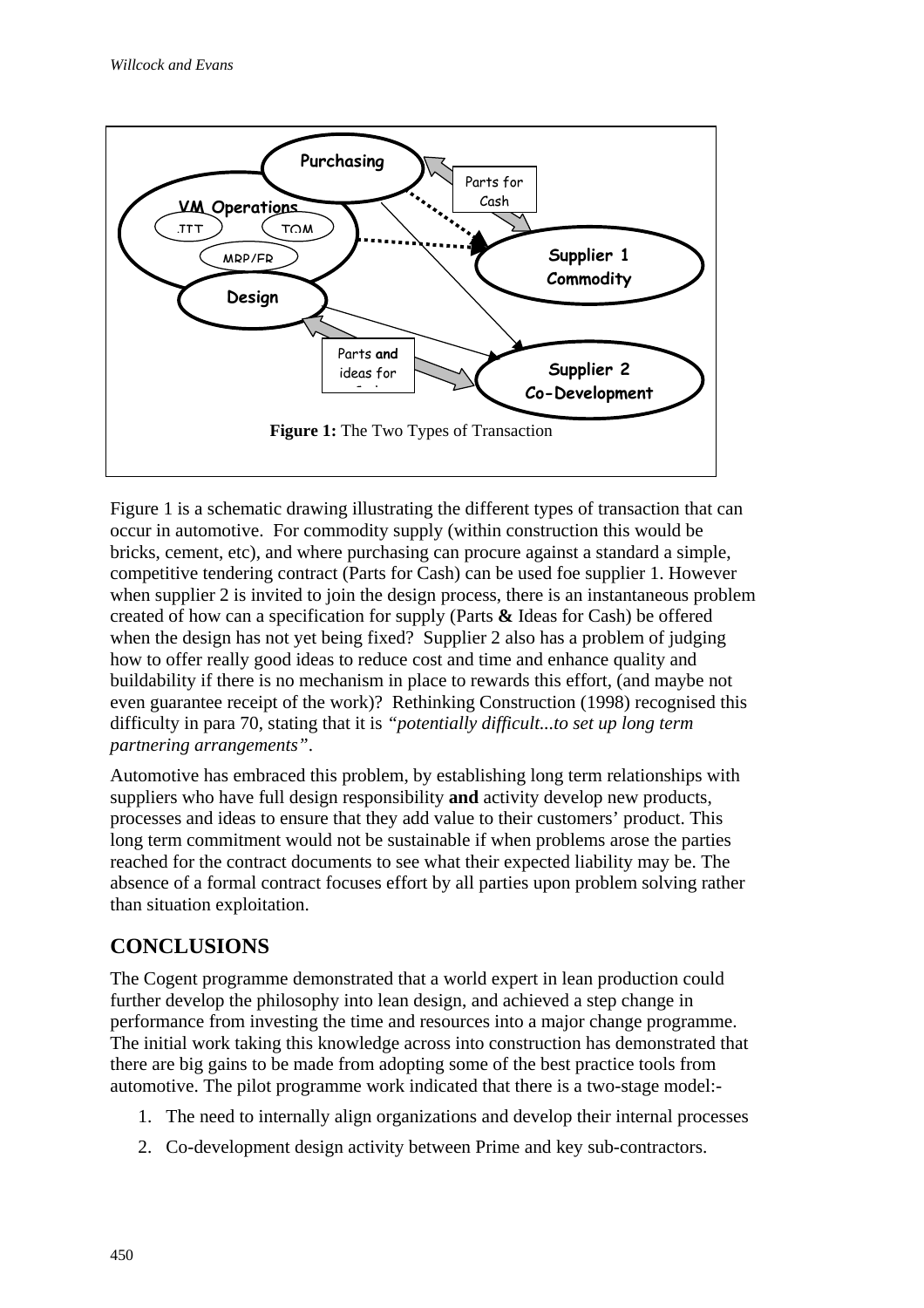

Figure 1 is a schematic drawing illustrating the different types of transaction that can occur in automotive. For commodity supply (within construction this would be bricks, cement, etc), and where purchasing can procure against a standard a simple, competitive tendering contract (Parts for Cash) can be used foe supplier 1. However when supplier 2 is invited to join the design process, there is an instantaneous problem created of how can a specification for supply (Parts **&** Ideas for Cash) be offered when the design has not yet being fixed? Supplier 2 also has a problem of judging how to offer really good ideas to reduce cost and time and enhance quality and buildability if there is no mechanism in place to rewards this effort, (and maybe not even guarantee receipt of the work)? Rethinking Construction (1998) recognised this difficulty in para 70, stating that it is *"potentially difficult...to set up long term partnering arrangements"*.

Automotive has embraced this problem, by establishing long term relationships with suppliers who have full design responsibility **and** activity develop new products, processes and ideas to ensure that they add value to their customers' product. This long term commitment would not be sustainable if when problems arose the parties reached for the contract documents to see what their expected liability may be. The absence of a formal contract focuses effort by all parties upon problem solving rather than situation exploitation.

# **CONCLUSIONS**

The Cogent programme demonstrated that a world expert in lean production could further develop the philosophy into lean design, and achieved a step change in performance from investing the time and resources into a major change programme. The initial work taking this knowledge across into construction has demonstrated that there are big gains to be made from adopting some of the best practice tools from automotive. The pilot programme work indicated that there is a two-stage model:-

- 1. The need to internally align organizations and develop their internal processes
- 2. Co-development design activity between Prime and key sub-contractors.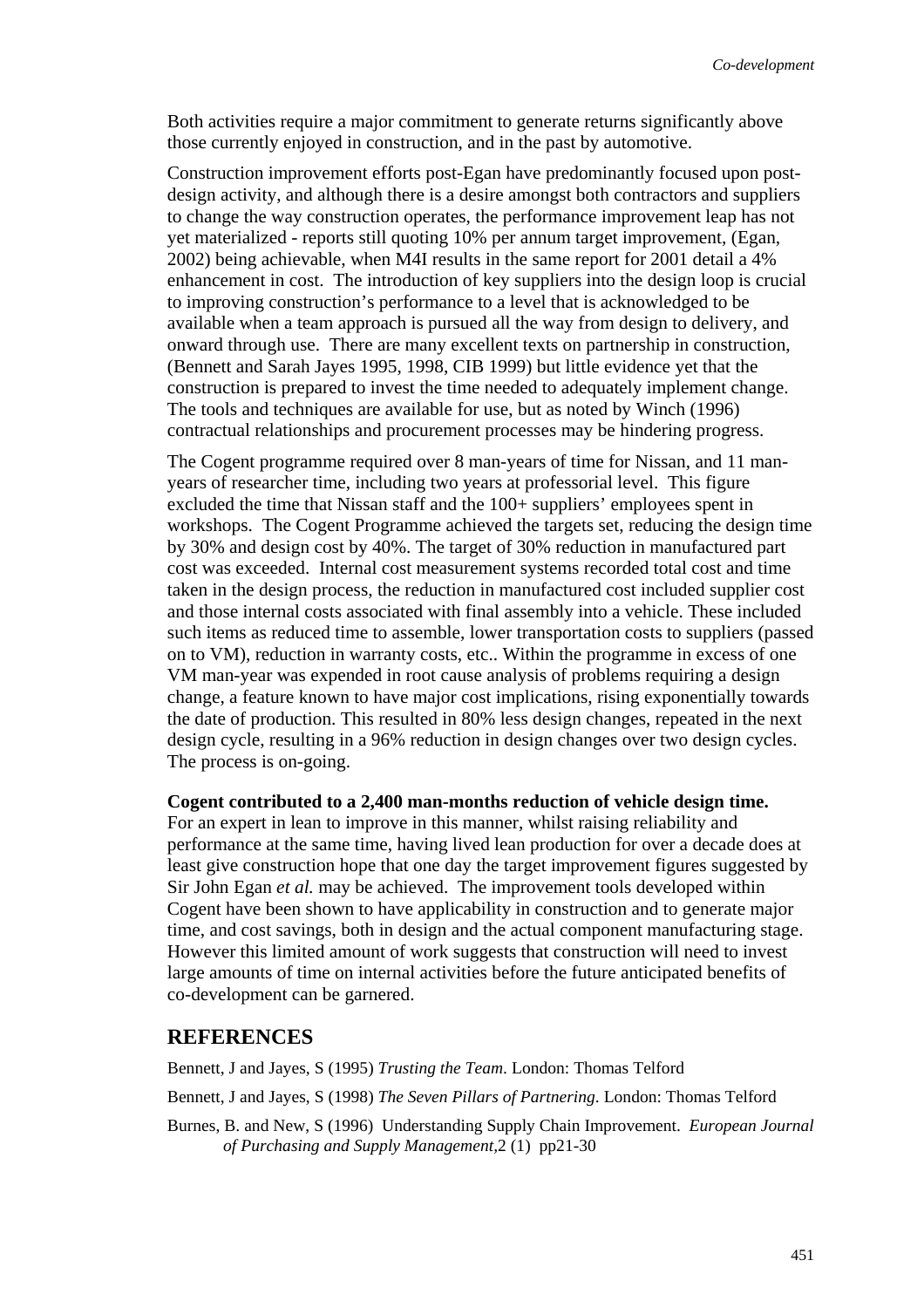Both activities require a major commitment to generate returns significantly above those currently enjoyed in construction, and in the past by automotive.

Construction improvement efforts post-Egan have predominantly focused upon postdesign activity, and although there is a desire amongst both contractors and suppliers to change the way construction operates, the performance improvement leap has not yet materialized - reports still quoting 10% per annum target improvement, (Egan, 2002) being achievable, when M4I results in the same report for 2001 detail a 4% enhancement in cost. The introduction of key suppliers into the design loop is crucial to improving construction's performance to a level that is acknowledged to be available when a team approach is pursued all the way from design to delivery, and onward through use. There are many excellent texts on partnership in construction, (Bennett and Sarah Jayes 1995, 1998, CIB 1999) but little evidence yet that the construction is prepared to invest the time needed to adequately implement change. The tools and techniques are available for use, but as noted by Winch (1996) contractual relationships and procurement processes may be hindering progress.

The Cogent programme required over 8 man-years of time for Nissan, and 11 manyears of researcher time, including two years at professorial level. This figure excluded the time that Nissan staff and the 100+ suppliers' employees spent in workshops. The Cogent Programme achieved the targets set, reducing the design time by 30% and design cost by 40%. The target of 30% reduction in manufactured part cost was exceeded. Internal cost measurement systems recorded total cost and time taken in the design process, the reduction in manufactured cost included supplier cost and those internal costs associated with final assembly into a vehicle. These included such items as reduced time to assemble, lower transportation costs to suppliers (passed on to VM), reduction in warranty costs, etc.. Within the programme in excess of one VM man-year was expended in root cause analysis of problems requiring a design change, a feature known to have major cost implications, rising exponentially towards the date of production. This resulted in 80% less design changes, repeated in the next design cycle, resulting in a 96% reduction in design changes over two design cycles. The process is on-going.

**Cogent contributed to a 2,400 man-months reduction of vehicle design time.** 

For an expert in lean to improve in this manner, whilst raising reliability and performance at the same time, having lived lean production for over a decade does at least give construction hope that one day the target improvement figures suggested by Sir John Egan *et al.* may be achieved. The improvement tools developed within Cogent have been shown to have applicability in construction and to generate major time, and cost savings, both in design and the actual component manufacturing stage. However this limited amount of work suggests that construction will need to invest large amounts of time on internal activities before the future anticipated benefits of co-development can be garnered.

## **REFERENCES**

Bennett, J and Jayes, S (1995) *Trusting the Team*. London: Thomas Telford

Bennett, J and Jayes, S (1998) *The Seven Pillars of Partnering*. London: Thomas Telford

Burnes, B. and New, S (1996) Understanding Supply Chain Improvement. *European Journal of Purchasing and Supply Management,*2 (1) pp21-30